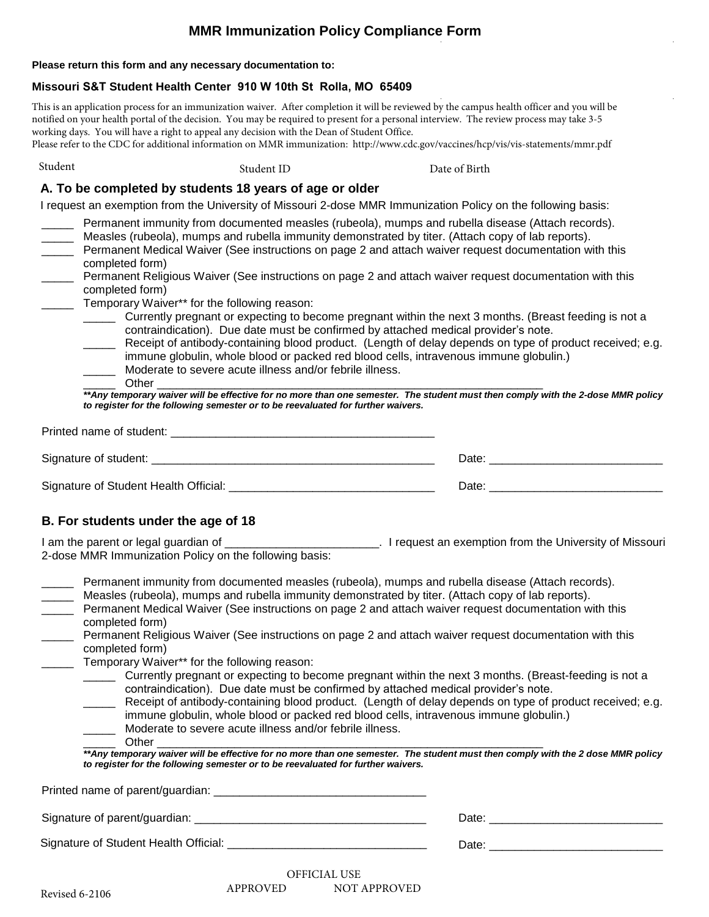# **MMR Immunization Policy Compliance Form**

#### **Please return this form and any necessary documentation to:**

### **Missouri S&T Student Health Center 910 W 10th St Rolla, MO 65409**

This is an application process for an immunization waiver. After completion it will be reviewed by the campus health officer and you will be notified on your health portal of the decision. You may be required to present for a personal interview. The review process may take 3-5 working days. You will have a right to appeal any decision with the Dean of Student Office.

Please refer to the CDC for additional information on MMR immunization: http://www.cdc.gov/vaccines/hcp/vis/vis-statements/mmr.pdf

Student Communist Communist Student ID Student ID Date of Birth

### **A. To be completed by students 18 years of age or older**

I request an exemption from the University of Missouri 2-dose MMR Immunization Policy on the following basis:

- Permanent immunity from documented measles (rubeola), mumps and rubella disease (Attach records).
	- Measles (rubeola), mumps and rubella immunity demonstrated by titer. (Attach copy of lab reports).
- Permanent Medical Waiver (See instructions on page 2 and attach waiver request documentation with this completed form)
- \_\_\_\_\_ Permanent Religious Waiver (See instructions on page 2 and attach waiver request documentation with this completed form)
- \_\_\_\_\_ Temporary Waiver\*\* for the following reason:
	- \_\_\_\_\_ Currently pregnant or expecting to become pregnant within the next 3 months. (Breast feeding is not a contraindication). Due date must be confirmed by attached medical provider's note.
		- \_\_\_\_\_ Receipt of antibody-containing blood product. (Length of delay depends on type of product received; e.g. immune globulin, whole blood or packed red blood cells, intravenous immune globulin.) Moderate to severe acute illness and/or febrile illness.
	-

\_\_\_\_\_ Other \_\_\_\_\_\_\_\_\_\_\_\_\_\_\_\_\_\_\_\_\_\_\_\_\_\_\_\_\_\_\_\_\_\_\_\_\_\_\_\_\_\_\_\_\_\_\_\_\_\_\_\_\_\_\_\_\_\_\_\_ *\*\*Any temporary waiver will be effective for no more than one semester. The student must then comply with the 2-dose MMR policy to register for the following semester or to be reevaluated for further waivers.*

| Printed name of student:              |       |
|---------------------------------------|-------|
| Signature of student:                 | Date: |
| Signature of Student Health Official: | Date: |

### **B. For students under the age of 18**

I am the parent or legal guardian of \_\_\_\_\_\_\_\_\_\_\_\_\_\_\_\_\_\_\_\_\_\_\_\_\_. I request an exemption from the University of Missouri 2-dose MMR Immunization Policy on the following basis:

Permanent immunity from documented measles (rubeola), mumps and rubella disease (Attach records).

- Measles (rubeola), mumps and rubella immunity demonstrated by titer. (Attach copy of lab reports).
- Permanent Medical Waiver (See instructions on page 2 and attach waiver request documentation with this completed form)
- \_\_\_\_\_ Permanent Religious Waiver (See instructions on page 2 and attach waiver request documentation with this completed form)
- \_\_\_\_\_ Temporary Waiver\*\* for the following reason:
	- \_\_\_\_\_ Currently pregnant or expecting to become pregnant within the next 3 months. (Breast-feeding is not a contraindication). Due date must be confirmed by attached medical provider's note.
		- Receipt of antibody-containing blood product. (Length of delay depends on type of product received; e.g. immune globulin, whole blood or packed red blood cells, intravenous immune globulin.)
	- Moderate to severe acute illness and/or febrile illness.
	- \_\_\_\_\_ Other \_\_\_\_\_\_\_\_\_\_\_\_\_\_\_\_\_\_\_\_\_\_\_\_\_\_\_\_\_\_\_\_\_\_\_\_\_\_\_\_\_\_\_\_\_\_\_\_\_\_\_\_\_\_\_\_\_\_\_\_

*\*\*Any temporary waiver will be effective for no more than one semester. The student must then comply with the 2 dose MMR policy to register for the following semester or to be reevaluated for further waivers.*

Printed name of parent/guardian:

Signature of parent/guardian: \_\_\_\_\_\_\_\_\_\_\_\_\_\_\_\_\_\_\_\_\_\_\_\_\_\_\_\_\_\_\_\_\_\_\_\_ Date: \_\_\_\_\_\_\_\_\_\_\_\_\_\_\_\_\_\_\_\_\_\_\_\_\_\_\_

Signature of Student Health Official: \_\_\_\_\_\_\_\_\_\_\_\_\_\_\_\_\_\_\_\_\_\_\_\_\_\_\_\_\_\_\_ Date: \_\_\_\_\_\_\_\_\_\_\_\_\_\_\_\_\_\_\_\_\_\_\_\_\_\_\_

| υđ |
|----|
|    |
|    |

OFFICIAL USE APPROVED NOT APPROVED